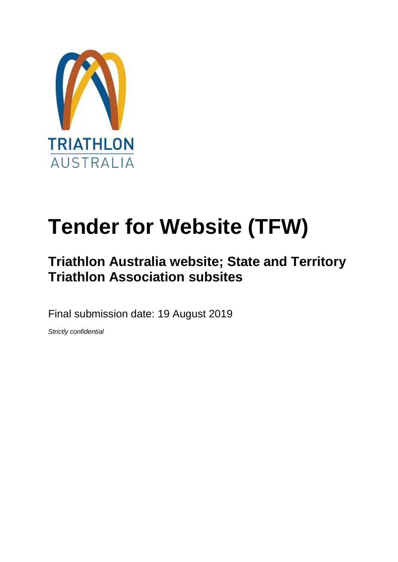

# **Tender for Website (TFW)**

# **Triathlon Australia website; State and Territory Triathlon Association subsites**

Final submission date: 19 August 2019

*Strictly confidential*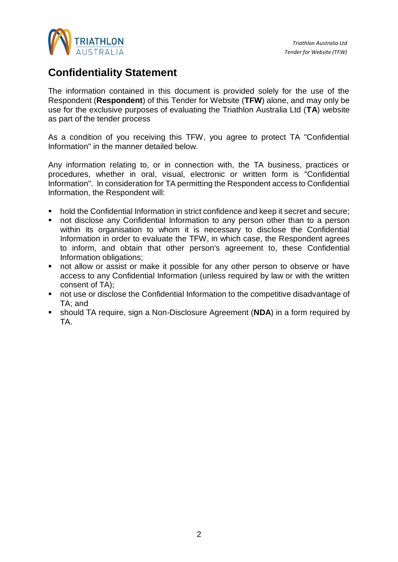

# <span id="page-1-0"></span>**Confidentiality Statement**

The information contained in this document is provided solely for the use of the Respondent (**Respondent**) of this Tender for Website (**TFW**) alone, and may only be use for the exclusive purposes of evaluating the Triathlon Australia Ltd (**TA**) website as part of the tender process

As a condition of you receiving this TFW, you agree to protect TA "Confidential Information" in the manner detailed below.

Any information relating to, or in connection with, the TA business, practices or procedures, whether in oral, visual, electronic or written form is "Confidential Information". In consideration for TA permitting the Respondent access to Confidential Information, the Respondent will:

- hold the Confidential Information in strict confidence and keep it secret and secure;
- not disclose any Confidential Information to any person other than to a person within its organisation to whom it is necessary to disclose the Confidential Information in order to evaluate the TFW, in which case, the Respondent agrees to inform, and obtain that other person's agreement to, these Confidential Information obligations;
- not allow or assist or make it possible for any other person to observe or have access to any Confidential Information (unless required by law or with the written consent of TA);
- not use or disclose the Confidential Information to the competitive disadvantage of TA; and
- should TA require, sign a Non-Disclosure Agreement (**NDA**) in a form required by TA.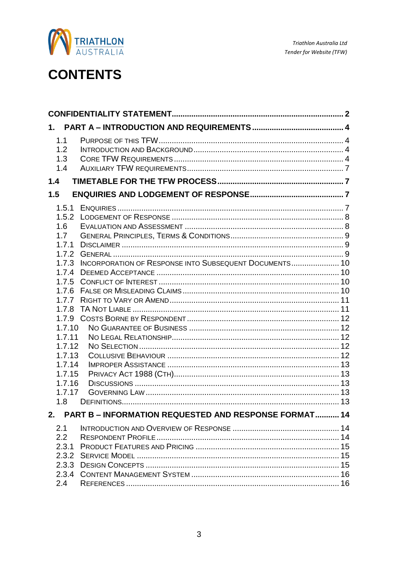

# **CONTENTS**

| 1.             |                                                              |  |
|----------------|--------------------------------------------------------------|--|
| 1.1            |                                                              |  |
| 1.2            |                                                              |  |
| 1.3            |                                                              |  |
| 1.4            |                                                              |  |
| 1.4            |                                                              |  |
| 1.5            |                                                              |  |
| 1.5.1          |                                                              |  |
| 1.5.2          |                                                              |  |
| 1.6            |                                                              |  |
| 1.7            |                                                              |  |
| 1.7.1          |                                                              |  |
| 1.7.2          |                                                              |  |
| 1.7.3<br>1.7.4 | INCORPORATION OF RESPONSE INTO SUBSEQUENT DOCUMENTS 10       |  |
| 1.7.5          |                                                              |  |
| 1.7.6          |                                                              |  |
| 1.7.7          |                                                              |  |
| 1.7.8          |                                                              |  |
| 1.7.9          |                                                              |  |
| 1.7.10         |                                                              |  |
| 1.7.11         |                                                              |  |
| 1.7.12         |                                                              |  |
| 1.7.13         |                                                              |  |
| 1.7.14         |                                                              |  |
| 1.7.15         |                                                              |  |
| 1.7.16         |                                                              |  |
| 1.7.17         |                                                              |  |
| 1.8            |                                                              |  |
| 2.             | <b>PART B - INFORMATION REQUESTED AND RESPONSE FORMAT 14</b> |  |
| 2.1            |                                                              |  |
| 2.2            |                                                              |  |
| 2.3.1          |                                                              |  |
|                |                                                              |  |
|                |                                                              |  |
| 2.3.4          |                                                              |  |
| 2.4            |                                                              |  |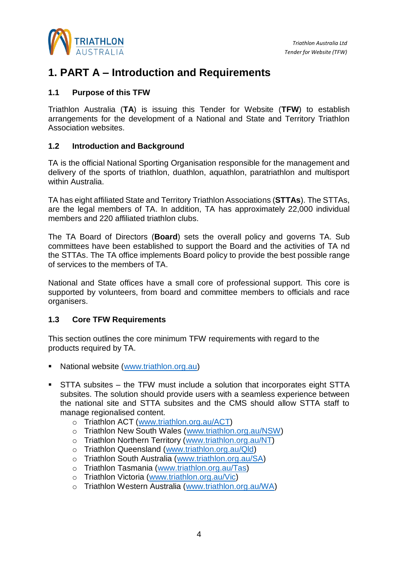

### <span id="page-3-0"></span>**1. PART A – Introduction and Requirements**

#### <span id="page-3-1"></span>**1.1 Purpose of this TFW**

Triathlon Australia (**TA**) is issuing this Tender for Website (**TFW**) to establish arrangements for the development of a National and State and Territory Triathlon Association websites.

#### <span id="page-3-2"></span>**1.2 Introduction and Background**

TA is the official National Sporting Organisation responsible for the management and delivery of the sports of triathlon, duathlon, aquathlon, paratriathlon and multisport within Australia.

TA has eight affiliated State and Territory Triathlon Associations (**STTAs**). The STTAs, are the legal members of TA. In addition, TA has approximately 22,000 individual members and 220 affiliated triathlon clubs.

The TA Board of Directors (**Board**) sets the overall policy and governs TA. Sub committees have been established to support the Board and the activities of TA nd the STTAs. The TA office implements Board policy to provide the best possible range of services to the members of TA.

National and State offices have a small core of professional support. This core is supported by volunteers, from board and committee members to officials and race organisers.

#### <span id="page-3-3"></span>**1.3 Core TFW Requirements**

This section outlines the core minimum TFW requirements with regard to the products required by TA.

- National website [\(www.triathlon.org.au\)](http://www.triathlon.org.au/)
- **EXTERM** STTA subsites the TFW must include a solution that incorporates eight STTA subsites. The solution should provide users with a seamless experience between the national site and STTA subsites and the CMS should allow STTA staff to manage regionalised content.
	- o Triathlon ACT [\(www.triathlon.org.au/ACT\)](http://www.triathlon.org.au/ACT)
	- o Triathlon New South Wales [\(www.triathlon.org.au/NSW\)](http://www.triathlon.org.au/NSW)
	- o Triathlon Northern Territory [\(www.triathlon.org.au/NT\)](http://www.triathlon.org.au/NT)
	- o Triathlon Queensland [\(www.triathlon.org.au/Qld\)](http://www.triathlon.org.au/Qld)
	- o Triathlon South Australia [\(www.triathlon.org.au/SA\)](http://www.triathlon.org.au/SA)
	- o Triathlon Tasmania [\(www.triathlon.org.au/Tas\)](http://www.triathlon.org.au/Tas)
	- o Triathlon Victoria [\(www.triathlon.org.au/Vic\)](http://www.triathlon.org.au/Vic)
	- o Triathlon Western Australia [\(www.triathlon.org.au/WA\)](http://www.triathlon.org.au/WA)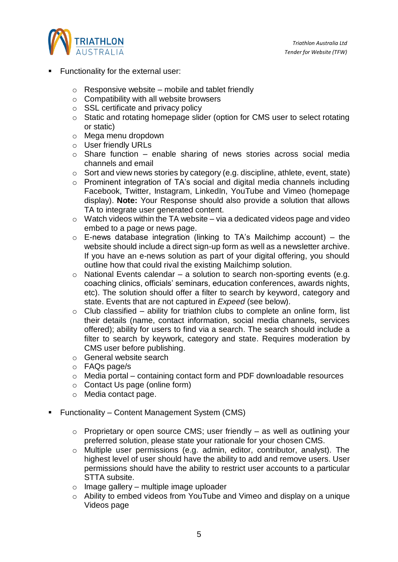

- **Functionality for the external user:** 
	- $\circ$  Responsive website mobile and tablet friendly
	- o Compatibility with all website browsers
	- o SSL certificate and privacy policy
	- o Static and rotating homepage slider (option for CMS user to select rotating or static)
	- o Mega menu dropdown
	- o User friendly URLs
	- o Share function enable sharing of news stories across social media channels and email
	- o Sort and view news stories by category (e.g. discipline, athlete, event, state)
	- o Prominent integration of TA's social and digital media channels including Facebook, Twitter, Instagram, LinkedIn, YouTube and Vimeo (homepage display). **Note:** Your Response should also provide a solution that allows TA to integrate user generated content.
	- $\circ$  Watch videos within the TA website via a dedicated videos page and video embed to a page or news page.
	- $\circ$  E-news database integration (linking to TA's Mailchimp account) the website should include a direct sign-up form as well as a newsletter archive. If you have an e-news solution as part of your digital offering, you should outline how that could rival the existing Mailchimp solution.
	- $\circ$  National Events calendar a solution to search non-sporting events (e.g. coaching clinics, officials' seminars, education conferences, awards nights, etc). The solution should offer a filter to search by keyword, category and state. Events that are not captured in *Expeed* (see below).
	- $\circ$  Club classified ability for triathlon clubs to complete an online form, list their details (name, contact information, social media channels, services offered); ability for users to find via a search. The search should include a filter to search by keywork, category and state. Requires moderation by CMS user before publishing.
	- o General website search
	- o FAQs page/s
	- o Media portal containing contact form and PDF downloadable resources
	- o Contact Us page (online form)
	- o Media contact page.
- Functionality Content Management System (CMS)
	- o Proprietary or open source CMS; user friendly as well as outlining your preferred solution, please state your rationale for your chosen CMS.
	- o Multiple user permissions (e.g. admin, editor, contributor, analyst). The highest level of user should have the ability to add and remove users. User permissions should have the ability to restrict user accounts to a particular STTA subsite.
	- $\circ$  Image gallery multiple image uploader
	- o Ability to embed videos from YouTube and Vimeo and display on a unique Videos page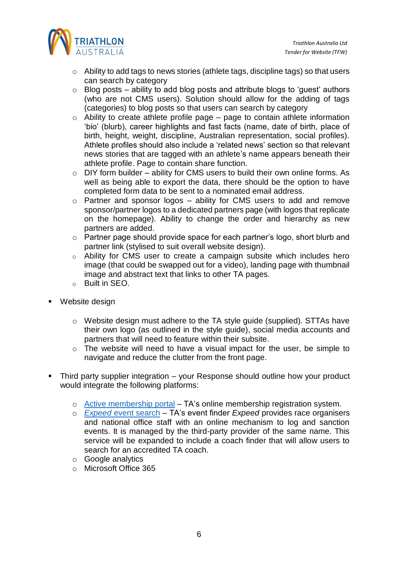

- o Ability to add tags to news stories (athlete tags, discipline tags) so that users can search by category
- $\circ$  Blog posts ability to add blog posts and attribute blogs to 'quest' authors (who are not CMS users). Solution should allow for the adding of tags (categories) to blog posts so that users can search by category
- $\circ$  Ability to create athlete profile page page to contain athlete information 'bio' (blurb), career highlights and fast facts (name, date of birth, place of birth, height, weight, discipline, Australian representation, social profiles). Athlete profiles should also include a 'related news' section so that relevant news stories that are tagged with an athlete's name appears beneath their athlete profile. Page to contain share function.
- o DIY form builder ability for CMS users to build their own online forms. As well as being able to export the data, there should be the option to have completed form data to be sent to a nominated email address.
- o Partner and sponsor logos ability for CMS users to add and remove sponsor/partner logos to a dedicated partners page (with logos that replicate on the homepage). Ability to change the order and hierarchy as new partners are added.
- o Partner page should provide space for each partner's logo, short blurb and partner link (stylised to suit overall website design).
- o Ability for CMS user to create a campaign subsite which includes hero image (that could be swapped out for a video), landing page with thumbnail image and abstract text that links to other TA pages.
- o Built in SEO.
- Website design
	- o Website design must adhere to the TA style guide (supplied). STTAs have their own logo (as outlined in the style guide), social media accounts and partners that will need to feature within their subsite.
	- o The website will need to have a visual impact for the user, be simple to navigate and reduce the clutter from the front page.
- Third party supplier integration your Response should outline how your product would integrate the following platforms:
	- o [Active membership portal](https://membercui.active.com/membership/membership-reg/enterEmail) TA's online membership registration system.
	- o *Expeed* [event search](https://calendar.triathlon.org.au/?defaultview=rhc_event) TA's event finder *Expeed* provides race organisers and national office staff with an online mechanism to log and sanction events. It is managed by the third-party provider of the same name. This service will be expanded to include a coach finder that will allow users to search for an accredited TA coach.
	- o Google analytics
	- o Microsoft Office 365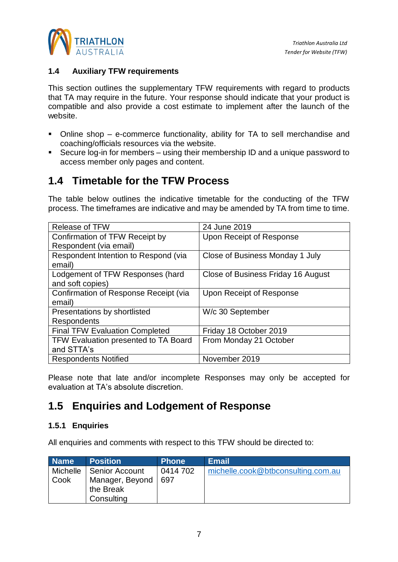

#### <span id="page-6-0"></span>**1.4 Auxiliary TFW requirements**

This section outlines the supplementary TFW requirements with regard to products that TA may require in the future. Your response should indicate that your product is compatible and also provide a cost estimate to implement after the launch of the website.

- Online shop e-commerce functionality, ability for TA to sell merchandise and coaching/officials resources via the website.
- Secure log-in for members using their membership ID and a unique password to access member only pages and content.

## <span id="page-6-1"></span>**1.4 Timetable for the TFW Process**

The table below outlines the indicative timetable for the conducting of the TFW process. The timeframes are indicative and may be amended by TA from time to time.

| <b>Release of TFW</b>                 | 24 June 2019                       |
|---------------------------------------|------------------------------------|
| Confirmation of TFW Receipt by        | Upon Receipt of Response           |
| Respondent (via email)                |                                    |
| Respondent Intention to Respond (via  | Close of Business Monday 1 July    |
| email)                                |                                    |
| Lodgement of TFW Responses (hard      | Close of Business Friday 16 August |
| and soft copies)                      |                                    |
| Confirmation of Response Receipt (via | Upon Receipt of Response           |
| email)                                |                                    |
| Presentations by shortlisted          | W/c 30 September                   |
| <b>Respondents</b>                    |                                    |
| <b>Final TFW Evaluation Completed</b> | Friday 18 October 2019             |
| TFW Evaluation presented to TA Board  | From Monday 21 October             |
| and STTA's                            |                                    |
| <b>Respondents Notified</b>           | November 2019                      |

Please note that late and/or incomplete Responses may only be accepted for evaluation at TA's absolute discretion.

## <span id="page-6-2"></span>**1.5 Enquiries and Lodgement of Response**

#### <span id="page-6-3"></span>**1.5.1 Enquiries**

All enquiries and comments with respect to this TFW should be directed to:

| <b>Name</b>      | <b>Position</b>                                | <b>Phone</b>    | <b>Email</b>                       |
|------------------|------------------------------------------------|-----------------|------------------------------------|
| Michelle<br>Cook | Senior Account<br>Manager, Beyond<br>the Break | 0414 702<br>697 | michelle.cook@btbconsulting.com.au |
|                  | Consulting                                     |                 |                                    |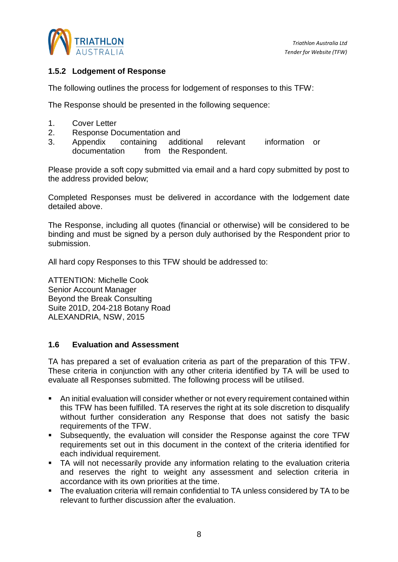

#### <span id="page-7-0"></span>**1.5.2 Lodgement of Response**

The following outlines the process for lodgement of responses to this TFW:

The Response should be presented in the following sequence:

- 1. Cover Letter
- 2. Response Documentation and
- 3. Appendix containing additional relevant information or documentation from the Respondent.

Please provide a soft copy submitted via email and a hard copy submitted by post to the address provided below;

Completed Responses must be delivered in accordance with the lodgement date detailed above.

The Response, including all quotes (financial or otherwise) will be considered to be binding and must be signed by a person duly authorised by the Respondent prior to submission.

All hard copy Responses to this TFW should be addressed to:

ATTENTION: Michelle Cook Senior Account Manager Beyond the Break Consulting Suite 201D, 204-218 Botany Road ALEXANDRIA, NSW, 2015

#### <span id="page-7-1"></span>**1.6 Evaluation and Assessment**

TA has prepared a set of evaluation criteria as part of the preparation of this TFW. These criteria in conjunction with any other criteria identified by TA will be used to evaluate all Responses submitted. The following process will be utilised.

- An initial evaluation will consider whether or not every requirement contained within this TFW has been fulfilled. TA reserves the right at its sole discretion to disqualify without further consideration any Response that does not satisfy the basic requirements of the TFW.
- Subsequently, the evaluation will consider the Response against the core TFW requirements set out in this document in the context of the criteria identified for each individual requirement.
- **•** TA will not necessarily provide any information relating to the evaluation criteria and reserves the right to weight any assessment and selection criteria in accordance with its own priorities at the time.
- The evaluation criteria will remain confidential to TA unless considered by TA to be relevant to further discussion after the evaluation.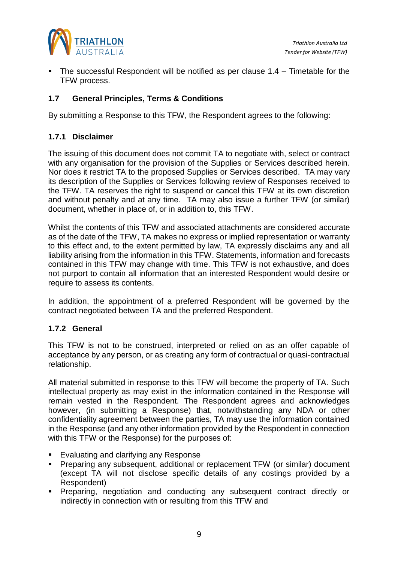

The successful Respondent will be notified as per clause  $1.4$  – Timetable for the TFW process.

#### <span id="page-8-0"></span>**1.7 General Principles, Terms & Conditions**

<span id="page-8-1"></span>By submitting a Response to this TFW, the Respondent agrees to the following:

#### **1.7.1 Disclaimer**

The issuing of this document does not commit TA to negotiate with, select or contract with any organisation for the provision of the Supplies or Services described herein. Nor does it restrict TA to the proposed Supplies or Services described. TA may vary its description of the Supplies or Services following review of Responses received to the TFW. TA reserves the right to suspend or cancel this TFW at its own discretion and without penalty and at any time. TA may also issue a further TFW (or similar) document, whether in place of, or in addition to, this TFW.

Whilst the contents of this TFW and associated attachments are considered accurate as of the date of the TFW, TA makes no express or implied representation or warranty to this effect and, to the extent permitted by law, TA expressly disclaims any and all liability arising from the information in this TFW. Statements, information and forecasts contained in this TFW may change with time. This TFW is not exhaustive, and does not purport to contain all information that an interested Respondent would desire or require to assess its contents.

In addition, the appointment of a preferred Respondent will be governed by the contract negotiated between TA and the preferred Respondent.

#### <span id="page-8-2"></span>**1.7.2 General**

This TFW is not to be construed, interpreted or relied on as an offer capable of acceptance by any person, or as creating any form of contractual or quasi-contractual relationship.

All material submitted in response to this TFW will become the property of TA. Such intellectual property as may exist in the information contained in the Response will remain vested in the Respondent. The Respondent agrees and acknowledges however, (in submitting a Response) that, notwithstanding any NDA or other confidentiality agreement between the parties, TA may use the information contained in the Response (and any other information provided by the Respondent in connection with this TFW or the Response) for the purposes of:

- Evaluating and clarifying any Response
- Preparing any subsequent, additional or replacement TFW (or similar) document (except TA will not disclose specific details of any costings provided by a Respondent)
- Preparing, negotiation and conducting any subsequent contract directly or indirectly in connection with or resulting from this TFW and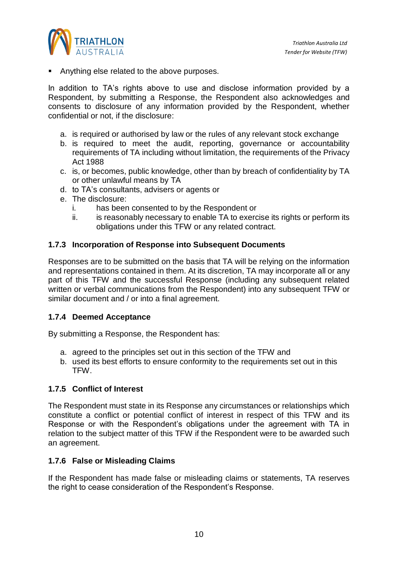

Anything else related to the above purposes.

In addition to TA's rights above to use and disclose information provided by a Respondent, by submitting a Response, the Respondent also acknowledges and consents to disclosure of any information provided by the Respondent, whether confidential or not, if the disclosure:

- a. is required or authorised by law or the rules of any relevant stock exchange
- b. is required to meet the audit, reporting, governance or accountability requirements of TA including without limitation, the requirements of the Privacy Act 1988
- c. is, or becomes, public knowledge, other than by breach of confidentiality by TA or other unlawful means by TA
- d. to TA's consultants, advisers or agents or
- e. The disclosure:
	- i. has been consented to by the Respondent or
	- ii. is reasonably necessary to enable TA to exercise its rights or perform its obligations under this TFW or any related contract.

#### <span id="page-9-0"></span>**1.7.3 Incorporation of Response into Subsequent Documents**

Responses are to be submitted on the basis that TA will be relying on the information and representations contained in them. At its discretion, TA may incorporate all or any part of this TFW and the successful Response (including any subsequent related written or verbal communications from the Respondent) into any subsequent TFW or similar document and / or into a final agreement.

#### <span id="page-9-1"></span>**1.7.4 Deemed Acceptance**

By submitting a Response, the Respondent has:

- a. agreed to the principles set out in this section of the TFW and
- b. used its best efforts to ensure conformity to the requirements set out in this TFW.

#### <span id="page-9-2"></span>**1.7.5 Conflict of Interest**

The Respondent must state in its Response any circumstances or relationships which constitute a conflict or potential conflict of interest in respect of this TFW and its Response or with the Respondent's obligations under the agreement with TA in relation to the subject matter of this TFW if the Respondent were to be awarded such an agreement.

#### <span id="page-9-3"></span>**1.7.6 False or Misleading Claims**

If the Respondent has made false or misleading claims or statements, TA reserves the right to cease consideration of the Respondent's Response.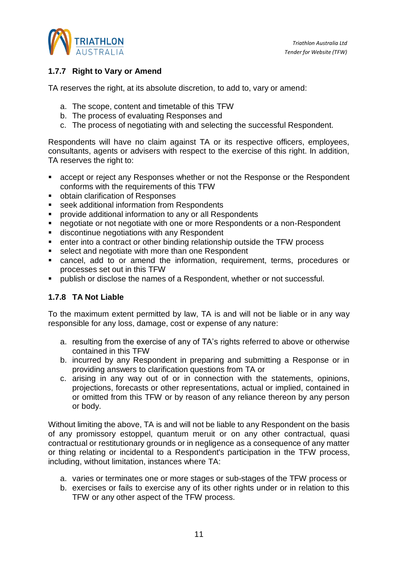

#### <span id="page-10-0"></span>**1.7.7 Right to Vary or Amend**

TA reserves the right, at its absolute discretion, to add to, vary or amend:

- a. The scope, content and timetable of this TFW
- b. The process of evaluating Responses and
- c. The process of negotiating with and selecting the successful Respondent.

Respondents will have no claim against TA or its respective officers, employees, consultants, agents or advisers with respect to the exercise of this right. In addition, TA reserves the right to:

- accept or reject any Responses whether or not the Response or the Respondent conforms with the requirements of this TFW
- obtain clarification of Responses
- seek additional information from Respondents
- provide additional information to any or all Respondents
- negotiate or not negotiate with one or more Respondents or a non-Respondent
- discontinue negotiations with any Respondent
- enter into a contract or other binding relationship outside the TFW process
- select and negotiate with more than one Respondent
- cancel, add to or amend the information, requirement, terms, procedures or processes set out in this TFW
- publish or disclose the names of a Respondent, whether or not successful.

#### <span id="page-10-1"></span>**1.7.8 TA Not Liable**

To the maximum extent permitted by law, TA is and will not be liable or in any way responsible for any loss, damage, cost or expense of any nature:

- a. resulting from the exercise of any of TA's rights referred to above or otherwise contained in this TFW
- b. incurred by any Respondent in preparing and submitting a Response or in providing answers to clarification questions from TA or
- c. arising in any way out of or in connection with the statements, opinions, projections, forecasts or other representations, actual or implied, contained in or omitted from this TFW or by reason of any reliance thereon by any person or body.

Without limiting the above, TA is and will not be liable to any Respondent on the basis of any promissory estoppel, quantum meruit or on any other contractual, quasi contractual or restitutionary grounds or in negligence as a consequence of any matter or thing relating or incidental to a Respondent's participation in the TFW process, including, without limitation, instances where TA:

- a. varies or terminates one or more stages or sub-stages of the TFW process or
- b. exercises or fails to exercise any of its other rights under or in relation to this TFW or any other aspect of the TFW process.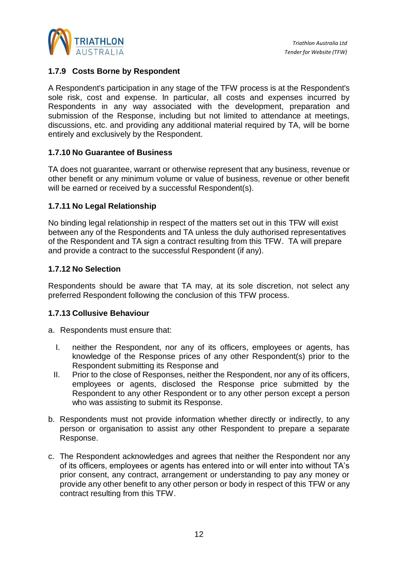

#### <span id="page-11-0"></span>**1.7.9 Costs Borne by Respondent**

A Respondent's participation in any stage of the TFW process is at the Respondent's sole risk, cost and expense. In particular, all costs and expenses incurred by Respondents in any way associated with the development, preparation and submission of the Response, including but not limited to attendance at meetings, discussions, etc. and providing any additional material required by TA, will be borne entirely and exclusively by the Respondent.

#### <span id="page-11-1"></span>**1.7.10 No Guarantee of Business**

TA does not guarantee, warrant or otherwise represent that any business, revenue or other benefit or any minimum volume or value of business, revenue or other benefit will be earned or received by a successful Respondent(s).

#### <span id="page-11-2"></span>**1.7.11 No Legal Relationship**

No binding legal relationship in respect of the matters set out in this TFW will exist between any of the Respondents and TA unless the duly authorised representatives of the Respondent and TA sign a contract resulting from this TFW. TA will prepare and provide a contract to the successful Respondent (if any).

#### <span id="page-11-3"></span>**1.7.12 No Selection**

Respondents should be aware that TA may, at its sole discretion, not select any preferred Respondent following the conclusion of this TFW process.

#### <span id="page-11-4"></span>**1.7.13 Collusive Behaviour**

a. Respondents must ensure that:

- I. neither the Respondent, nor any of its officers, employees or agents, has knowledge of the Response prices of any other Respondent(s) prior to the Respondent submitting its Response and
- II. Prior to the close of Responses, neither the Respondent, nor any of its officers, employees or agents, disclosed the Response price submitted by the Respondent to any other Respondent or to any other person except a person who was assisting to submit its Response.
- b. Respondents must not provide information whether directly or indirectly, to any person or organisation to assist any other Respondent to prepare a separate Response.
- c. The Respondent acknowledges and agrees that neither the Respondent nor any of its officers, employees or agents has entered into or will enter into without TA's prior consent, any contract, arrangement or understanding to pay any money or provide any other benefit to any other person or body in respect of this TFW or any contract resulting from this TFW.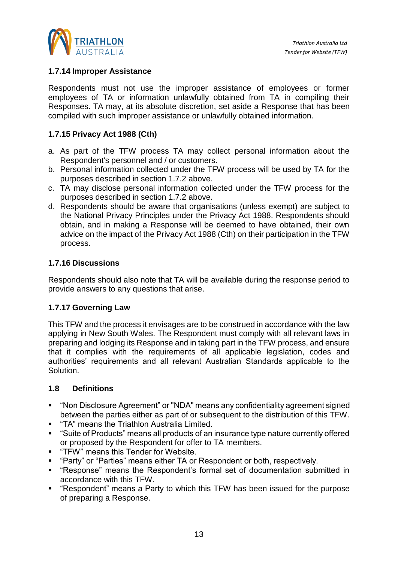

#### <span id="page-12-0"></span>**1.7.14 Improper Assistance**

Respondents must not use the improper assistance of employees or former employees of TA or information unlawfully obtained from TA in compiling their Responses. TA may, at its absolute discretion, set aside a Response that has been compiled with such improper assistance or unlawfully obtained information.

#### <span id="page-12-1"></span>**1.7.15 Privacy Act 1988 (Cth)**

- a. As part of the TFW process TA may collect personal information about the Respondent's personnel and / or customers.
- b. Personal information collected under the TFW process will be used by TA for the purposes described in section 1.7.2 above.
- c. TA may disclose personal information collected under the TFW process for the purposes described in section 1.7.2 above.
- d. Respondents should be aware that organisations (unless exempt) are subject to the National Privacy Principles under the Privacy Act 1988. Respondents should obtain, and in making a Response will be deemed to have obtained, their own advice on the impact of the Privacy Act 1988 (Cth) on their participation in the TFW process.

#### <span id="page-12-2"></span>**1.7.16 Discussions**

Respondents should also note that TA will be available during the response period to provide answers to any questions that arise.

#### <span id="page-12-3"></span>**1.7.17 Governing Law**

This TFW and the process it envisages are to be construed in accordance with the law applying in New South Wales. The Respondent must comply with all relevant laws in preparing and lodging its Response and in taking part in the TFW process, and ensure that it complies with the requirements of all applicable legislation, codes and authorities' requirements and all relevant Australian Standards applicable to the Solution.

#### <span id="page-12-4"></span>**1.8 Definitions**

- "Non Disclosure Agreement" or "NDA" means any confidentiality agreement signed between the parties either as part of or subsequent to the distribution of this TFW.
- "TA" means the Triathlon Australia Limited.
- "Suite of Products" means all products of an insurance type nature currently offered or proposed by the Respondent for offer to TA members.
- "TFW" means this Tender for Website.
- "Party" or "Parties" means either TA or Respondent or both, respectively.
- "Response" means the Respondent's formal set of documentation submitted in accordance with this TFW.
- "Respondent" means a Party to which this TFW has been issued for the purpose of preparing a Response.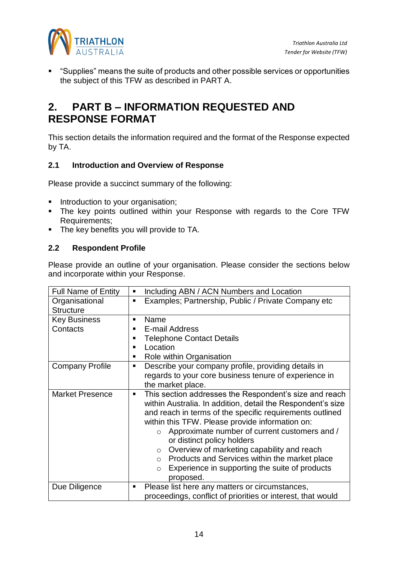

▪ "Supplies" means the suite of products and other possible services or opportunities the subject of this TFW as described in PART A.

# <span id="page-13-0"></span>**2. PART B – INFORMATION REQUESTED AND RESPONSE FORMAT**

This section details the information required and the format of the Response expected by TA.

#### <span id="page-13-1"></span>**2.1 Introduction and Overview of Response**

Please provide a succinct summary of the following:

- Introduction to your organisation;
- **.** The key points outlined within your Response with regards to the Core TFW Requirements;
- The key benefits you will provide to TA.

#### <span id="page-13-2"></span>**2.2 Respondent Profile**

Please provide an outline of your organisation. Please consider the sections below and incorporate within your Response.

| <b>Full Name of Entity</b> | Including ABN / ACN Numbers and Location<br>٠                                                                                                                                                                                                                                                                                                                                                                                                                                                                                      |
|----------------------------|------------------------------------------------------------------------------------------------------------------------------------------------------------------------------------------------------------------------------------------------------------------------------------------------------------------------------------------------------------------------------------------------------------------------------------------------------------------------------------------------------------------------------------|
|                            |                                                                                                                                                                                                                                                                                                                                                                                                                                                                                                                                    |
| Organisational             | Examples; Partnership, Public / Private Company etc<br>٠                                                                                                                                                                                                                                                                                                                                                                                                                                                                           |
| <b>Structure</b>           |                                                                                                                                                                                                                                                                                                                                                                                                                                                                                                                                    |
| <b>Key Business</b>        | Name<br>٠                                                                                                                                                                                                                                                                                                                                                                                                                                                                                                                          |
| Contacts                   | E-mail Address<br>٠                                                                                                                                                                                                                                                                                                                                                                                                                                                                                                                |
|                            | <b>Telephone Contact Details</b><br>п                                                                                                                                                                                                                                                                                                                                                                                                                                                                                              |
|                            | Location<br>п                                                                                                                                                                                                                                                                                                                                                                                                                                                                                                                      |
|                            | Role within Organisation<br>п                                                                                                                                                                                                                                                                                                                                                                                                                                                                                                      |
| <b>Company Profile</b>     | Describe your company profile, providing details in<br>п                                                                                                                                                                                                                                                                                                                                                                                                                                                                           |
|                            | regards to your core business tenure of experience in                                                                                                                                                                                                                                                                                                                                                                                                                                                                              |
|                            | the market place.                                                                                                                                                                                                                                                                                                                                                                                                                                                                                                                  |
| <b>Market Presence</b>     | This section addresses the Respondent's size and reach<br>п<br>within Australia. In addition, detail the Respondent's size<br>and reach in terms of the specific requirements outlined<br>within this TFW. Please provide information on:<br>Approximate number of current customers and /<br>$\circ$<br>or distinct policy holders<br>Overview of marketing capability and reach<br>$\circ$<br>Products and Services within the market place<br>$\circ$<br>Experience in supporting the suite of products<br>$\circ$<br>proposed. |
| Due Diligence              | Please list here any matters or circumstances,<br>٠<br>proceedings, conflict of priorities or interest, that would                                                                                                                                                                                                                                                                                                                                                                                                                 |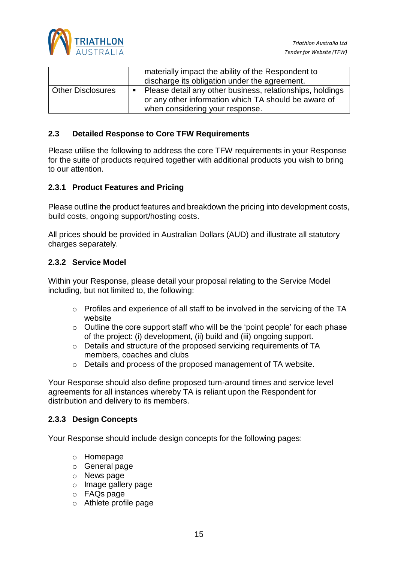

|                          |                | materially impact the ability of the Respondent to<br>discharge its obligation under the agreement.                                                  |
|--------------------------|----------------|------------------------------------------------------------------------------------------------------------------------------------------------------|
| <b>Other Disclosures</b> | $\blacksquare$ | Please detail any other business, relationships, holdings<br>or any other information which TA should be aware of<br>when considering your response. |

#### **2.3 Detailed Response to Core TFW Requirements**

Please utilise the following to address the core TFW requirements in your Response for the suite of products required together with additional products you wish to bring to our attention.

#### <span id="page-14-0"></span>**2.3.1 Product Features and Pricing**

Please outline the product features and breakdown the pricing into development costs, build costs, ongoing support/hosting costs.

All prices should be provided in Australian Dollars (AUD) and illustrate all statutory charges separately.

#### <span id="page-14-1"></span>**2.3.2 Service Model**

Within your Response, please detail your proposal relating to the Service Model including, but not limited to, the following:

- o Profiles and experience of all staff to be involved in the servicing of the TA website
- $\circ$  Outline the core support staff who will be the 'point people' for each phase of the project: (i) development, (ii) build and (iii) ongoing support.
- o Details and structure of the proposed servicing requirements of TA members, coaches and clubs
- o Details and process of the proposed management of TA website.

Your Response should also define proposed turn-around times and service level agreements for all instances whereby TA is reliant upon the Respondent for distribution and delivery to its members.

#### <span id="page-14-2"></span>**2.3.3 Design Concepts**

Your Response should include design concepts for the following pages:

- o Homepage
- o General page
- o News page
- o Image gallery page
- o FAQs page
- o Athlete profile page